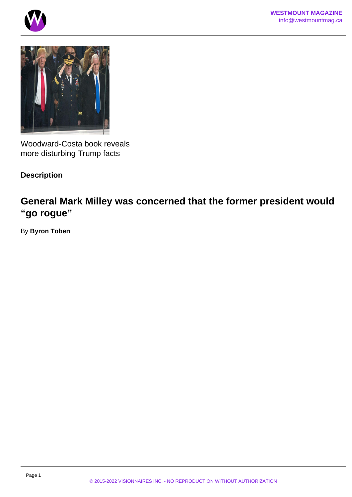





Woodward-Costa book reveals more disturbing Trump facts

## **Description**

## **General Mark Milley was concerned that the former president would "go rogue"**

By **Byron Toben**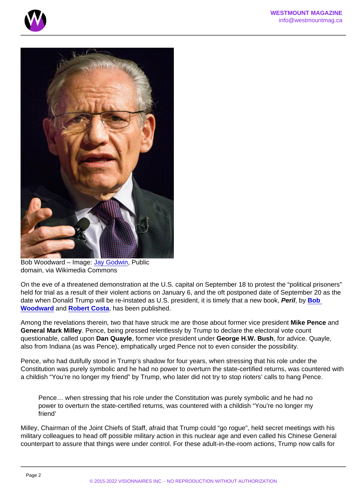Bob Woodward – Image: [Jay Godwin,](https://commons.wikimedia.org/wiki/File:DIG13846-168.jpg) Public domain, via Wikimedia Commons

On the eve of a threatened demonstration at the U.S. capital on September 18 to protest the "political prisoners" held for trial as a result of their violent actions on January 6, and the oft postponed date of September 20 as the date when Donald Trump will be re-instated as U.S. president, it is timely that a new book, Peril, by Bob Woodward and [Robert Costa](https://en.wikipedia.org/wiki/Robert_Costa_(journalist)) , has been published.

Among the revelations therein, two that have struck me are those about former vice president Mike Pence and General Mark Milley . Pence, being pressed relentlessly by Trump to declare the electoral vote count questionable, called upon Dan Quayle , former vice president under George H.W. Bush , for advice. Quayle, also from Indiana (as was Pence), emphatically urged Pence not to even consider the possibility.

Pence, who had dutifully stood in Trump's shadow for four years, when stressing that his role under the Constitution was purely symbolic and he had no power to overturn the state-certified returns, was countered with a childish "You're no longer my friend" by Trump, who later did not try to stop rioters' calls to hang Pence.

Pence… when stressing that his role under the Constitution was purely symbolic and he had no power to overturn the state-certified returns, was countered with a childish "You're no longer my friend'

Milley, Chairman of the Joint Chiefs of Staff, afraid that Trump could "go rogue", held secret meetings with his military colleagues to head off possible military action in this nuclear age and even called his Chinese General counterpart to assure that things were under control. For these adult-in-the-room actions, Trump now calls for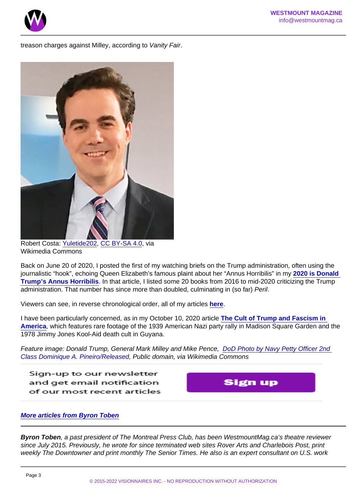treason charges against Milley, according to Vanity Fair.

Robert Costa: [Yuletide202](https://commons.wikimedia.org/wiki/File:Costa_robert.jpg), [CC BY-SA 4.0](https://creativecommons.org/licenses/by-sa/4.0), via Wikimedia Commons

Back on June 20 of 2020, I posted the first of my watching briefs on the Trump administration, often using the journalistic "hook", echoing Queen Elizabeth's famous plaint about her "Annus Horribilis" in my [2020 is Donald](/)  [Trump's Annus Horribilis](/) . In that article, I listed some 20 books from 2016 to mid-2020 criticizing the Trump administration. That number has since more than doubled, culminating in (so far) Peril.

Viewers can see, in reverse chronological order, all of my articles [here.](/)

I have been particularly concerned, as in my October 10, 2020 article [The Cult of Trump and Fascism in](/)  [America](/) , which features rare footage of the 1939 American Nazi party rally in Madison Square Garden and the 1978 Jimmy Jones Kool-Aid death cult in Guyana.

Feature image: Donald Trump, General Mark Milley and Mike Pence, [DoD Photo by Navy Petty Officer 2nd](https://commons.wikimedia.org/wiki/File:Donald_J._Trump,_Mark_A._Milley_and_Mike_Pence_salute,_Jan._20,_2017.jpg)  [Class Dominique A. Pineiro/Released](https://commons.wikimedia.org/wiki/File:Donald_J._Trump,_Mark_A._Milley_and_Mike_Pence_salute,_Jan._20,_2017.jpg), Public domain, via Wikimedia Commons

[More articles from Byron Toben](https://www.westmountmag.ca/?s=byron+Toben)

Byron Toben , a past president of The Montreal Press Club, has been WestmountMag.ca's theatre reviewer since July 2015. Previously, he wrote for since terminated web sites Rover Arts and Charlebois Post, print weekly The Downtowner and print monthly The Senior Times. He also is an expert consultant on U.S. work